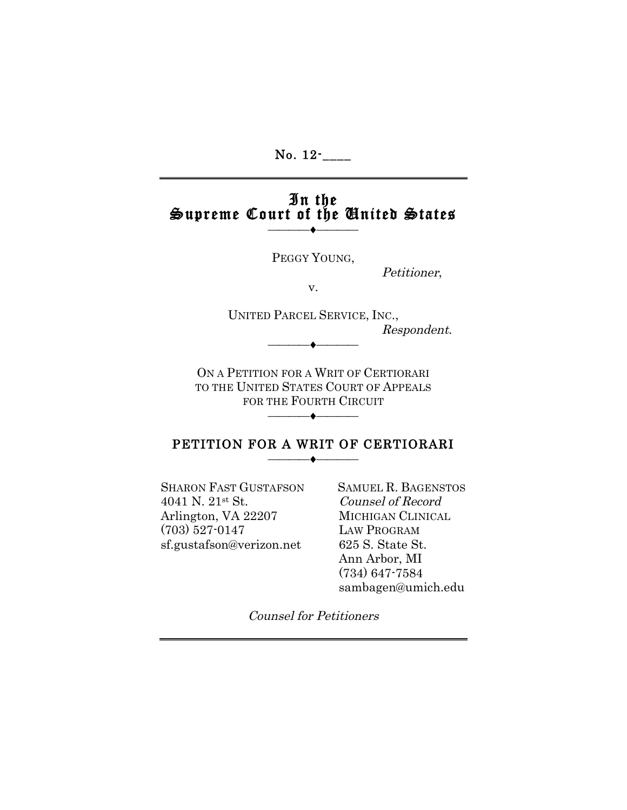No. 12<sup>-</sup>

# In the Supreme Court of the United States —♦—

PEGGY YOUNG,

Petitioner,

v.

UNITED PARCEL SERVICE, INC., Respondent. ——<del>——————————</del>

ON A PETITION FOR A WRIT OF CERTIORARI TO THE UNITED STATES COURT OF APPEALS FOR THE FOURTH CIRCUIT **─────◆────** 

#### PETITION FOR A WRIT OF CERTIORARI **──────◆────**

SHARON FAST GUSTAFSON SAMUEL R. BAGENSTOS 4041 N. 21st St. Counsel of Record Arlington, VA 22207 MICHIGAN CLINICAL (703) 527-0147 LAW PROGRAM sf.gustafson@verizon.net 625 S. State St.

 Ann Arbor, MI (734) 647-7584 sambagen@umich.edu

Counsel for Petitioners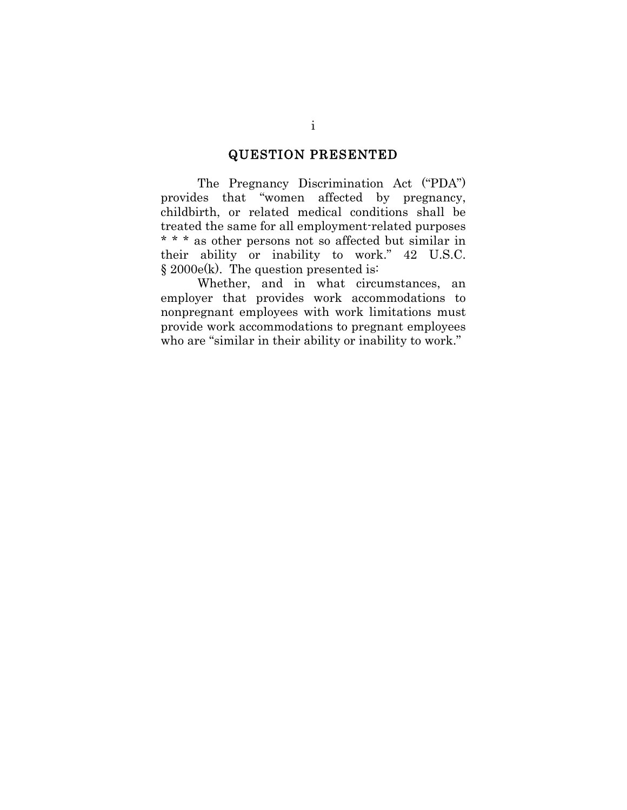### QUESTION PRESENTED

The Pregnancy Discrimination Act ("PDA") provides that "women affected by pregnancy, childbirth, or related medical conditions shall be treated the same for all employment-related purposes \* \* \* as other persons not so affected but similar in their ability or inability to work." 42 U.S.C. § 2000e(k). The question presented is:

Whether, and in what circumstances, an employer that provides work accommodations to nonpregnant employees with work limitations must provide work accommodations to pregnant employees who are "similar in their ability or inability to work."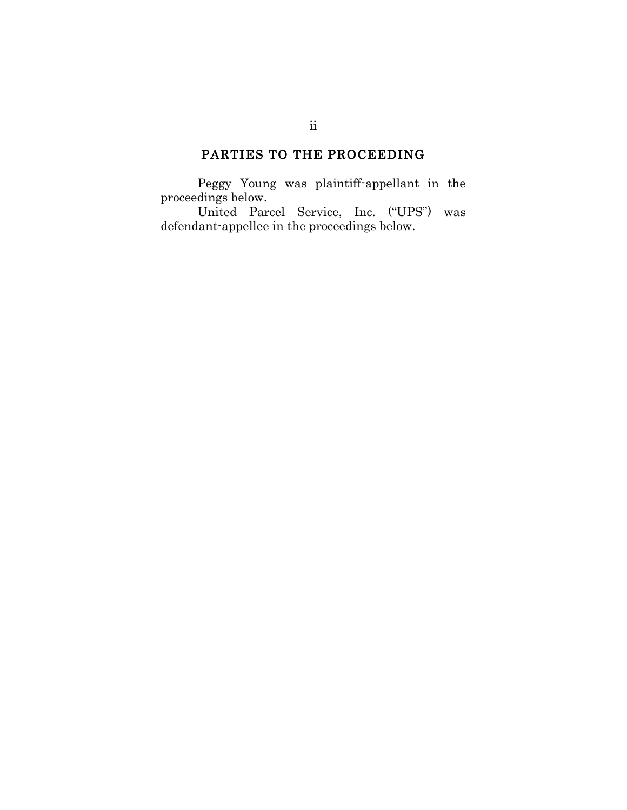## PARTIES TO THE PROCEEDING

Peggy Young was plaintiff-appellant in the proceedings below.

United Parcel Service, Inc. ("UPS") was defendant-appellee in the proceedings below.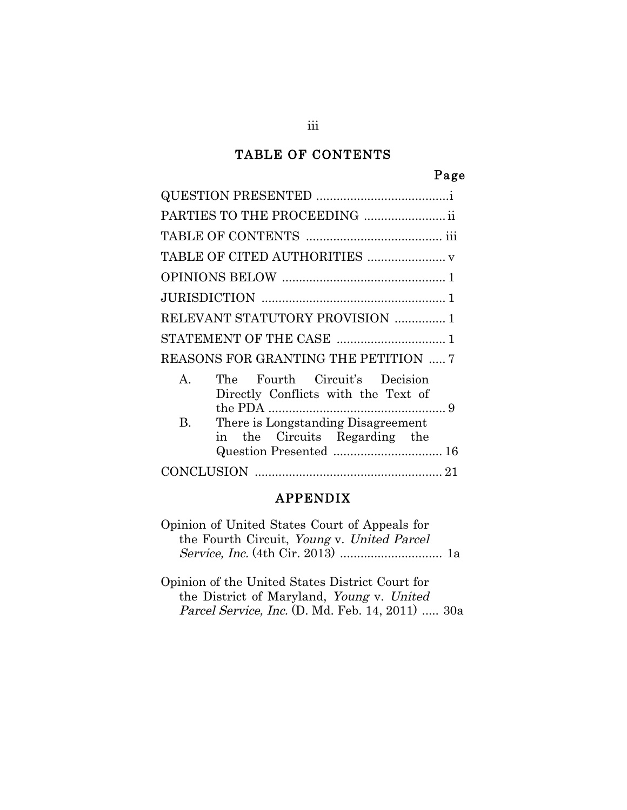## TABLE OF CONTENTS

### Page

### APPENDIX

Opinion of United States Court of Appeals for the Fourth Circuit, Young v. United Parcel Service, Inc. (4th Cir. 2013) .............................. 1a

Opinion of the United States District Court for the District of Maryland, Young v. United Parcel Service, Inc. (D. Md. Feb. 14, 2011) ..... 30a

iii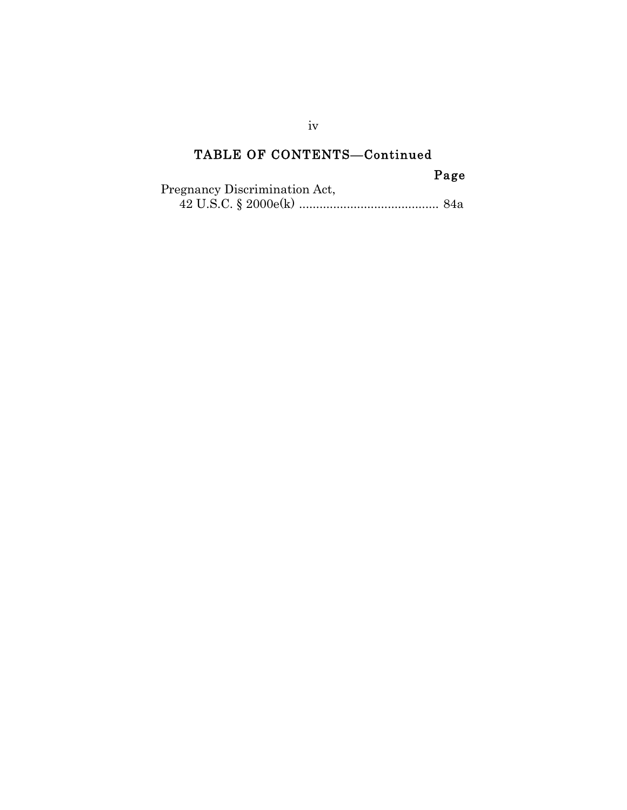## TABLE OF CONTENTS—Continued

## Page

| Pregnancy Discrimination Act, |  |
|-------------------------------|--|
|                               |  |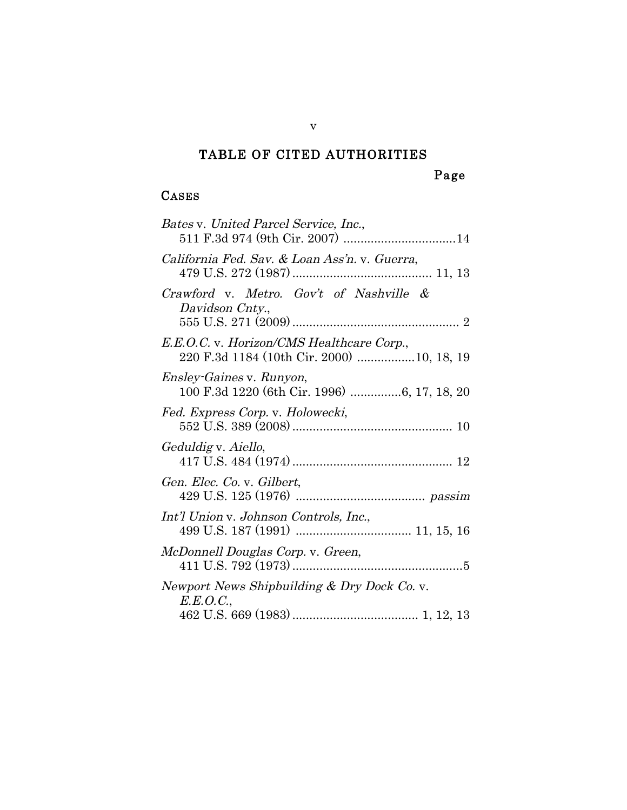## TABLE OF CITED AUTHORITIES

### Page

## CASES

| Bates v. United Parcel Service, Inc.,<br>511 F.3d 974 (9th Cir. 2007) 14               |
|----------------------------------------------------------------------------------------|
| California Fed. Sav. & Loan Ass'n. v. Guerra,                                          |
| Crawford v. Metro. Gov't of Nashville &<br>Davidson Cnty.,                             |
| E.E.O.C. v. Horizon/CMS Healthcare Corp.,<br>220 F.3d 1184 (10th Cir. 2000) 10, 18, 19 |
| <i>Ensley-Gaines v. Runyon,</i><br>100 F.3d 1220 (6th Cir. 1996) 6, 17, 18, 20         |
| Fed. Express Corp. v. Holowecki,                                                       |
| Geduldig v. Aiello,                                                                    |
| Gen. Elec. Co. v. Gilbert,                                                             |
| Int'l Union v. Johnson Controls, Inc.,                                                 |
| McDonnell Douglas Corp. v. Green,                                                      |
| Newport News Shipbuilding & Dry Dock Co. v.<br>E.E.O.C.,                               |
|                                                                                        |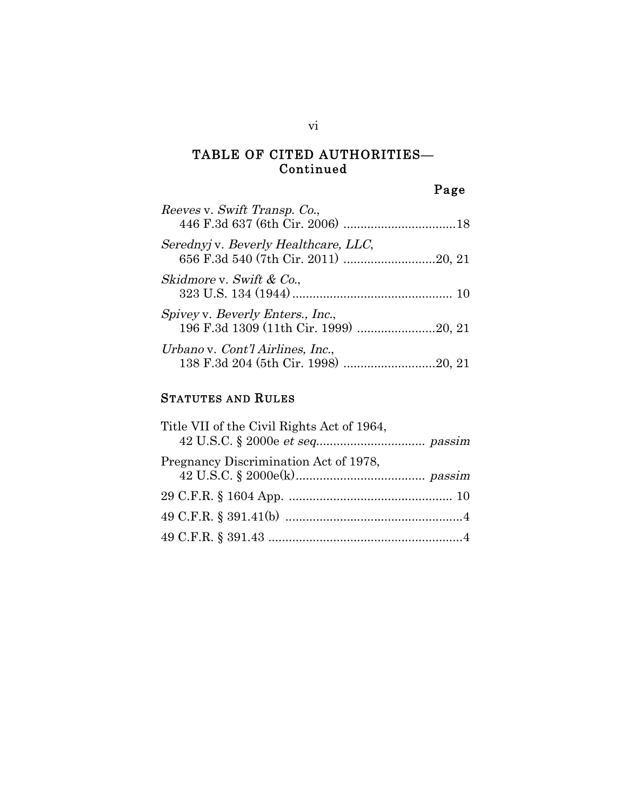#### TABLE OF CITED AUTHORITIES— Continued

Page

| Reeves v. Swift Transp. Co.,                                              |  |
|---------------------------------------------------------------------------|--|
| Serednyj v. Beverly Healthcare, LLC,                                      |  |
| Skidmore v. Swift & Co.,                                                  |  |
| Spivey v. Beverly Enters., Inc.,<br>196 F.3d 1309 (11th Cir. 1999) 20, 21 |  |
| Urbano v. Cont'l Airlines, Inc.,<br>138 F.3d 204 (5th Cir. 1998) 20, 21   |  |

#### STATUTES AND RULES

| Title VII of the Civil Rights Act of 1964, |  |
|--------------------------------------------|--|
| Pregnancy Discrimination Act of 1978,      |  |
|                                            |  |
|                                            |  |
|                                            |  |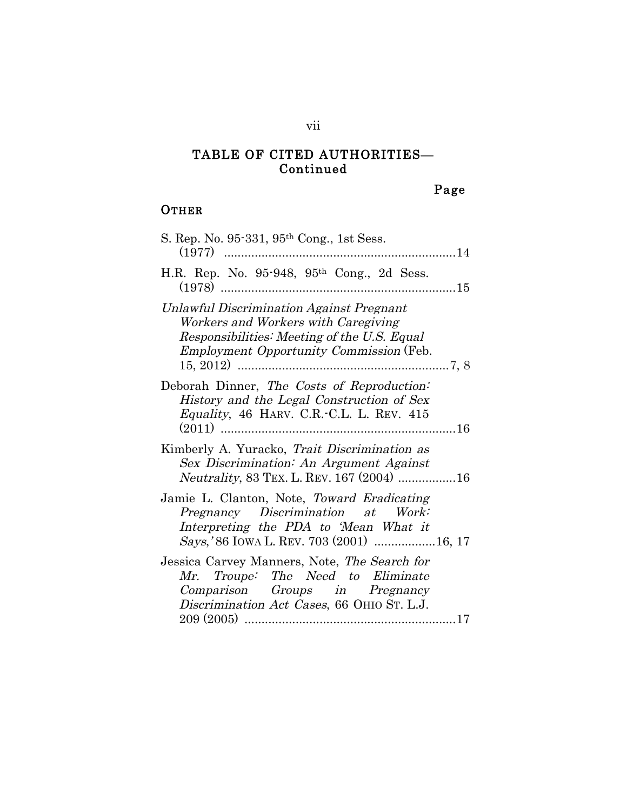#### TABLE OF CITED AUTHORITIES— Continued

## Page

### **OTHER**

| S. Rep. No. 95-331, 95 <sup>th</sup> Cong., 1st Sess.                                                                                                                            |
|----------------------------------------------------------------------------------------------------------------------------------------------------------------------------------|
| H.R. Rep. No. 95-948, 95 <sup>th</sup> Cong., 2d Sess.                                                                                                                           |
| Unlawful Discrimination Against Pregnant<br>Workers and Workers with Caregiving<br>Responsibilities: Meeting of the U.S. Equal<br><i>Employment Opportunity Commission</i> (Feb. |
| Deborah Dinner, The Costs of Reproduction:<br>History and the Legal Construction of Sex<br>Equality, 46 HARV. C.R.-C.L. L. REV. 415                                              |
| Kimberly A. Yuracko, Trait Discrimination as<br>Sex Discrimination: An Argument Against<br><i>Neutrality</i> , 83 TEX. L. REV. 167 (2004) 16                                     |
| Jamie L. Clanton, Note, Toward Eradicating<br>Pregnancy Discrimination at Work:<br>Interpreting the PDA to 'Mean What it<br>Says,'86 IOWA L. REV. 703 (2001)  16, 17             |
| Jessica Carvey Manners, Note, The Search for<br>Mr. Troupe: The Need to Eliminate<br>Comparison Groups in Pregnancy<br>Discrimination Act Cases, 66 OHIO ST. L.J.                |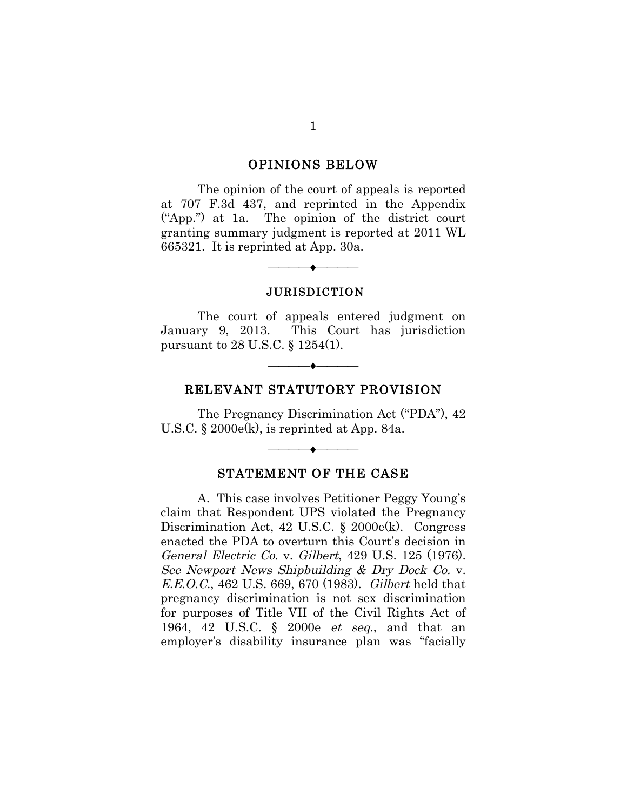#### OPINIONS BELOW

The opinion of the court of appeals is reported at 707 F.3d 437, and reprinted in the Appendix ("App.") at 1a. The opinion of the district court granting summary judgment is reported at 2011 WL 665321. It is reprinted at App. 30a.

#### JURISDICTION

——<del>——————————</del>

The court of appeals entered judgment on January 9, 2013. This Court has jurisdiction pursuant to 28 U.S.C. § 1254(1).

#### RELEVANT STATUTORY PROVISION

——<del>——————————</del>

The Pregnancy Discrimination Act ("PDA"), 42 U.S.C.  $\&$  2000 $e(k)$ , is reprinted at App. 84a.

#### STATEMENT OF THE CASE

——<del>——————————</del>

A. This case involves Petitioner Peggy Young's claim that Respondent UPS violated the Pregnancy Discrimination Act, 42 U.S.C. § 2000e(k). Congress enacted the PDA to overturn this Court's decision in General Electric Co. v. Gilbert, 429 U.S. 125 (1976). See Newport News Shipbuilding & Dry Dock Co. v. E.E.O.C., 462 U.S. 669, 670 (1983). Gilbert held that pregnancy discrimination is not sex discrimination for purposes of Title VII of the Civil Rights Act of 1964, 42 U.S.C. § 2000e et seq., and that an employer's disability insurance plan was "facially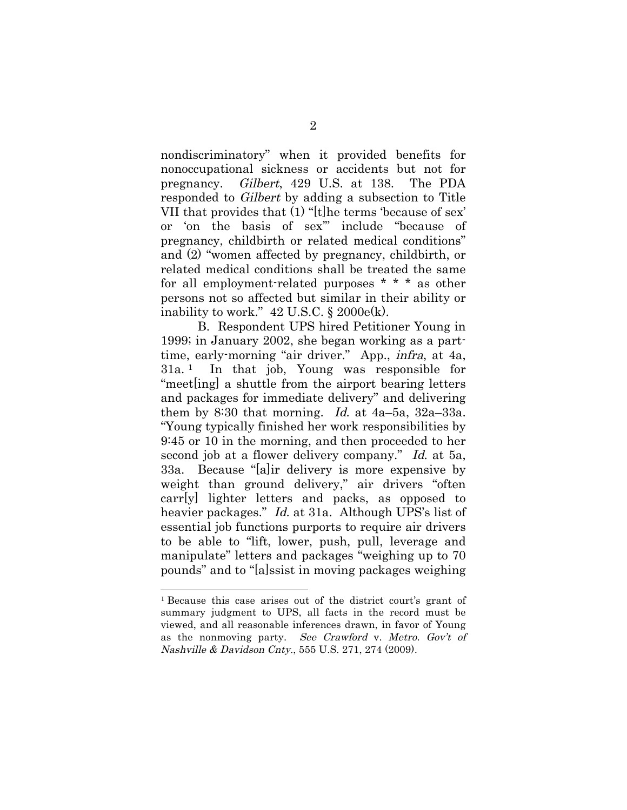nondiscriminatory" when it provided benefits for nonoccupational sickness or accidents but not for pregnancy. Gilbert, 429 U.S. at 138. The PDA responded to Gilbert by adding a subsection to Title VII that provides that (1) "[t]he terms 'because of sex' or 'on the basis of sex'" include "because of pregnancy, childbirth or related medical conditions" and (2) "women affected by pregnancy, childbirth, or related medical conditions shall be treated the same for all employment-related purposes \* \* \* as other persons not so affected but similar in their ability or inability to work."  $42 \text{ U.S.C. }$ §  $2000 \text{ e(k)}.$ 

B. Respondent UPS hired Petitioner Young in 1999; in January 2002, she began working as a parttime, early-morning "air driver." App., infra, at 4a, 31a. 1 In that job, Young was responsible for "meet[ing] a shuttle from the airport bearing letters and packages for immediate delivery" and delivering them by 8:30 that morning. Id. at  $4a-5a$ ,  $32a-33a$ . "Young typically finished her work responsibilities by 9:45 or 10 in the morning, and then proceeded to her second job at a flower delivery company." Id. at 5a, 33a. Because "[a]ir delivery is more expensive by weight than ground delivery," air drivers "often carr[y] lighter letters and packs, as opposed to heavier packages." Id. at 31a. Although UPS's list of essential job functions purports to require air drivers to be able to "lift, lower, push, pull, leverage and manipulate" letters and packages "weighing up to 70 pounds" and to "[a]ssist in moving packages weighing

<sup>1</sup> Because this case arises out of the district court's grant of summary judgment to UPS, all facts in the record must be viewed, and all reasonable inferences drawn, in favor of Young as the nonmoving party. See Crawford v. Metro. Gov't of Nashville & Davidson Cnty., 555 U.S. 271, 274 (2009).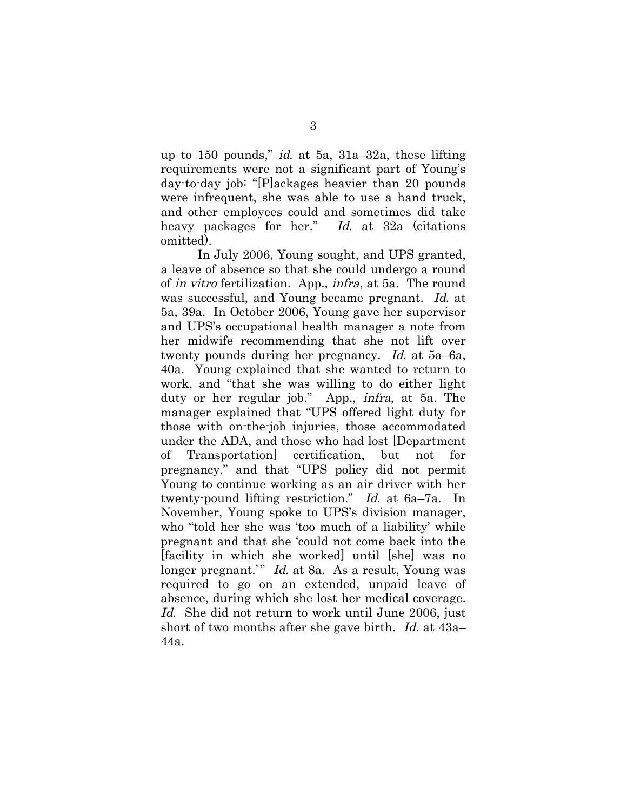up to 150 pounds," id. at 5a,  $31a-32a$ , these lifting requirements were not a significant part of Young's day-to-day job: "[P]ackages heavier than 20 pounds were infrequent, she was able to use a hand truck, and other employees could and sometimes did take heavy packages for her." Id. at 32a (citations omitted).

In July 2006, Young sought, and UPS granted, a leave of absence so that she could undergo a round of in vitro fertilization. App., infra, at 5a. The round was successful, and Young became pregnant. Id. at 5a, 39a. In October 2006, Young gave her supervisor and UPS's occupational health manager a note from her midwife recommending that she not lift over twenty pounds during her pregnancy. Id. at 5a–6a, 40a. Young explained that she wanted to return to work, and "that she was willing to do either light duty or her regular job." App., infra, at 5a. The manager explained that "UPS offered light duty for those with on-the-job injuries, those accommodated under the ADA, and those who had lost [Department of Transportation] certification, but not for pregnancy," and that "UPS policy did not permit Young to continue working as an air driver with her twenty-pound lifting restriction." Id. at 6a–7a. In November, Young spoke to UPS's division manager, who "told her she was 'too much of a liability' while pregnant and that she 'could not come back into the [facility in which she worked] until [she] was no longer pregnant.'" Id. at 8a. As a result, Young was required to go on an extended, unpaid leave of absence, during which she lost her medical coverage. Id. She did not return to work until June 2006, just short of two months after she gave birth. Id. at 43a– 44a.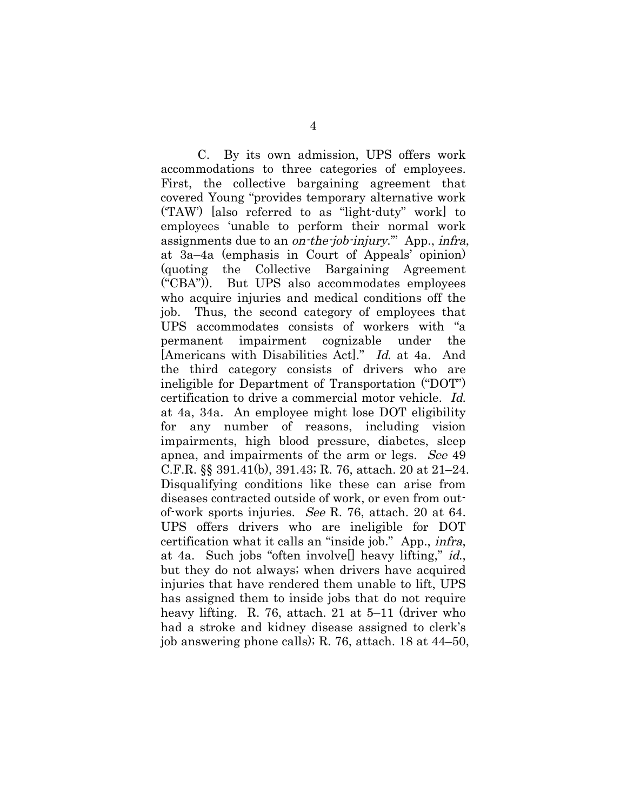C. By its own admission, UPS offers work accommodations to three categories of employees. First, the collective bargaining agreement that covered Young "provides temporary alternative work ('TAW') [also referred to as "light-duty" work] to employees 'unable to perform their normal work assignments due to an *on-the-job-injury*." App., *infra*, at 3a–4a (emphasis in Court of Appeals' opinion) (quoting the Collective Bargaining Agreement ("CBA")). But UPS also accommodates employees who acquire injuries and medical conditions off the job. Thus, the second category of employees that UPS accommodates consists of workers with "a permanent impairment cognizable under the [Americans with Disabilities Act]." Id. at 4a. And the third category consists of drivers who are ineligible for Department of Transportation ("DOT") certification to drive a commercial motor vehicle. Id. at 4a, 34a. An employee might lose DOT eligibility for any number of reasons, including vision impairments, high blood pressure, diabetes, sleep apnea, and impairments of the arm or legs. See 49 C.F.R. §§ 391.41(b), 391.43; R. 76, attach. 20 at 21–24. Disqualifying conditions like these can arise from diseases contracted outside of work, or even from outof-work sports injuries. See R. 76, attach. 20 at 64. UPS offers drivers who are ineligible for DOT certification what it calls an "inside job." App., infra, at 4a. Such jobs "often involve[] heavy lifting," id., but they do not always; when drivers have acquired injuries that have rendered them unable to lift, UPS has assigned them to inside jobs that do not require heavy lifting. R. 76, attach. 21 at 5–11 (driver who had a stroke and kidney disease assigned to clerk's job answering phone calls); R. 76, attach. 18 at 44–50,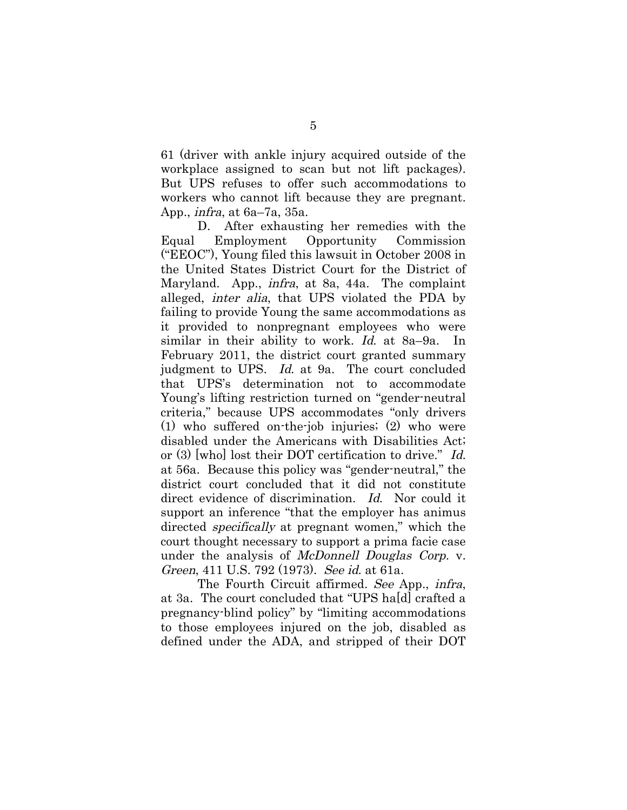61 (driver with ankle injury acquired outside of the workplace assigned to scan but not lift packages). But UPS refuses to offer such accommodations to workers who cannot lift because they are pregnant. App., infra, at 6a–7a, 35a.

D. After exhausting her remedies with the Equal Employment Opportunity Commission ("EEOC"), Young filed this lawsuit in October 2008 in the United States District Court for the District of Maryland. App., infra, at 8a, 44a. The complaint alleged, inter alia, that UPS violated the PDA by failing to provide Young the same accommodations as it provided to nonpregnant employees who were similar in their ability to work. Id. at 8a–9a. In February 2011, the district court granted summary judgment to UPS. Id. at 9a. The court concluded that UPS's determination not to accommodate Young's lifting restriction turned on "gender-neutral criteria," because UPS accommodates "only drivers (1) who suffered on-the-job injuries; (2) who were disabled under the Americans with Disabilities Act; or (3) [who] lost their DOT certification to drive." Id. at 56a. Because this policy was "gender-neutral," the district court concluded that it did not constitute direct evidence of discrimination. Id. Nor could it support an inference "that the employer has animus directed *specifically* at pregnant women," which the court thought necessary to support a prima facie case under the analysis of *McDonnell Douglas Corp.* v. Green, 411 U.S. 792 (1973). See id. at 61a.

The Fourth Circuit affirmed. See App., infra, at 3a. The court concluded that "UPS ha[d] crafted a pregnancy-blind policy" by "limiting accommodations to those employees injured on the job, disabled as defined under the ADA, and stripped of their DOT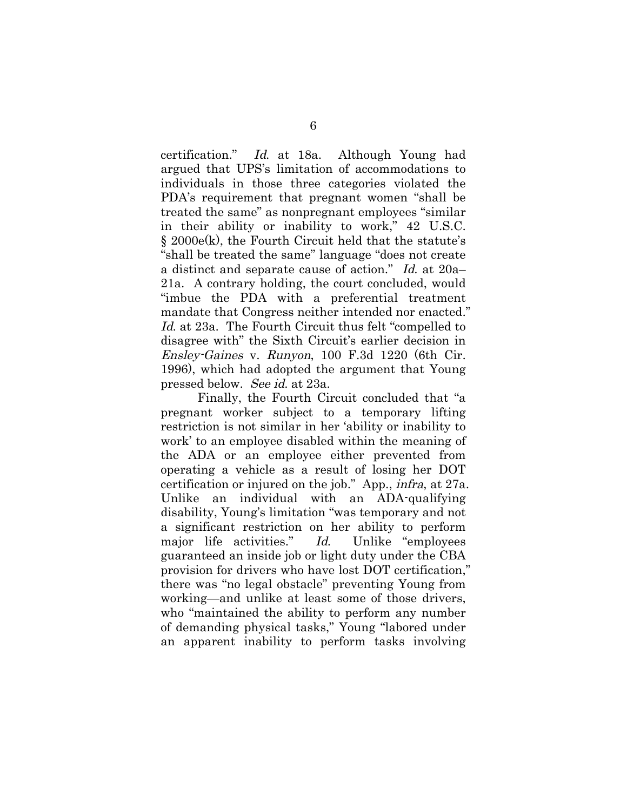certification." Id. at 18a. Although Young had argued that UPS's limitation of accommodations to individuals in those three categories violated the PDA's requirement that pregnant women "shall be treated the same" as nonpregnant employees "similar in their ability or inability to work," 42 U.S.C. § 2000e(k), the Fourth Circuit held that the statute's "shall be treated the same" language "does not create a distinct and separate cause of action." Id. at 20a– 21a. A contrary holding, the court concluded, would "imbue the PDA with a preferential treatment mandate that Congress neither intended nor enacted." Id. at 23a. The Fourth Circuit thus felt "compelled to disagree with" the Sixth Circuit's earlier decision in Ensley-Gaines v. Runyon, 100 F.3d 1220 (6th Cir. 1996), which had adopted the argument that Young pressed below. See id. at 23a.

Finally, the Fourth Circuit concluded that "a pregnant worker subject to a temporary lifting restriction is not similar in her 'ability or inability to work' to an employee disabled within the meaning of the ADA or an employee either prevented from operating a vehicle as a result of losing her DOT certification or injured on the job." App., infra, at 27a. Unlike an individual with an ADA-qualifying disability, Young's limitation "was temporary and not a significant restriction on her ability to perform major life activities." Id. Unlike "employees guaranteed an inside job or light duty under the CBA provision for drivers who have lost DOT certification," there was "no legal obstacle" preventing Young from working—and unlike at least some of those drivers, who "maintained the ability to perform any number of demanding physical tasks," Young "labored under an apparent inability to perform tasks involving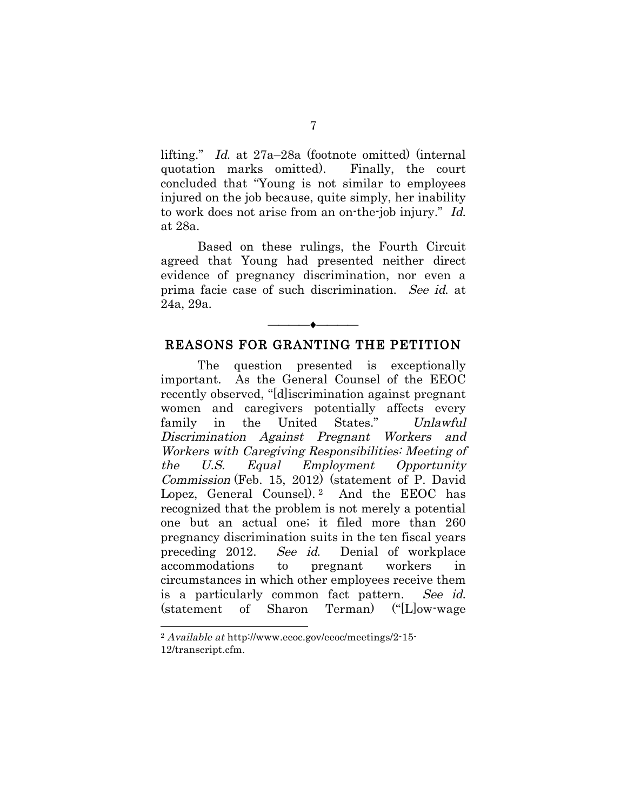lifting." Id. at 27a–28a (footnote omitted) (internal quotation marks omitted). Finally, the court concluded that "Young is not similar to employees injured on the job because, quite simply, her inability to work does not arise from an on-the-job injury." Id. at 28a.

Based on these rulings, the Fourth Circuit agreed that Young had presented neither direct evidence of pregnancy discrimination, nor even a prima facie case of such discrimination. See id. at 24a, 29a.

## ———<del>———————</del> REASONS FOR GRANTING THE PETITION

 The question presented is exceptionally important. As the General Counsel of the EEOC recently observed, "[d]iscrimination against pregnant women and caregivers potentially affects every family in the United States." Unlawful Discrimination Against Pregnant Workers and Workers with Caregiving Responsibilities: Meeting of the U.S. Equal Employment Opportunity Commission (Feb. 15, 2012) (statement of P. David Lopez, General Counsel).<sup>2</sup> And the EEOC has recognized that the problem is not merely a potential one but an actual one; it filed more than 260 pregnancy discrimination suits in the ten fiscal years preceding 2012. See id. Denial of workplace accommodations to pregnant workers in circumstances in which other employees receive them is a particularly common fact pattern. See id. (statement of Sharon Terman) ("[L]ow-wage

<sup>2</sup> Available at http://www.eeoc.gov/eeoc/meetings/2-15- 12/transcript.cfm.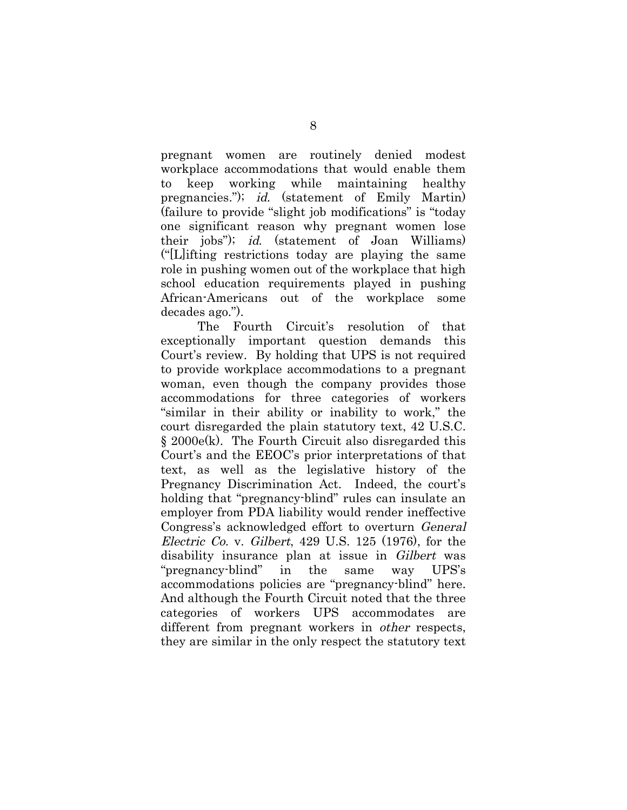pregnant women are routinely denied modest workplace accommodations that would enable them to keep working while maintaining healthy pregnancies."); id. (statement of Emily Martin) (failure to provide "slight job modifications" is "today one significant reason why pregnant women lose their jobs"); id. (statement of Joan Williams) ("[L]ifting restrictions today are playing the same role in pushing women out of the workplace that high school education requirements played in pushing African-Americans out of the workplace some decades ago.").

The Fourth Circuit's resolution of that exceptionally important question demands this Court's review. By holding that UPS is not required to provide workplace accommodations to a pregnant woman, even though the company provides those accommodations for three categories of workers "similar in their ability or inability to work," the court disregarded the plain statutory text, 42 U.S.C. § 2000e(k). The Fourth Circuit also disregarded this Court's and the EEOC's prior interpretations of that text, as well as the legislative history of the Pregnancy Discrimination Act. Indeed, the court's holding that "pregnancy-blind" rules can insulate an employer from PDA liability would render ineffective Congress's acknowledged effort to overturn General Electric Co. v. Gilbert, 429 U.S. 125 (1976), for the disability insurance plan at issue in Gilbert was "pregnancy-blind" in the same way UPS's accommodations policies are "pregnancy-blind" here. And although the Fourth Circuit noted that the three categories of workers UPS accommodates are different from pregnant workers in other respects, they are similar in the only respect the statutory text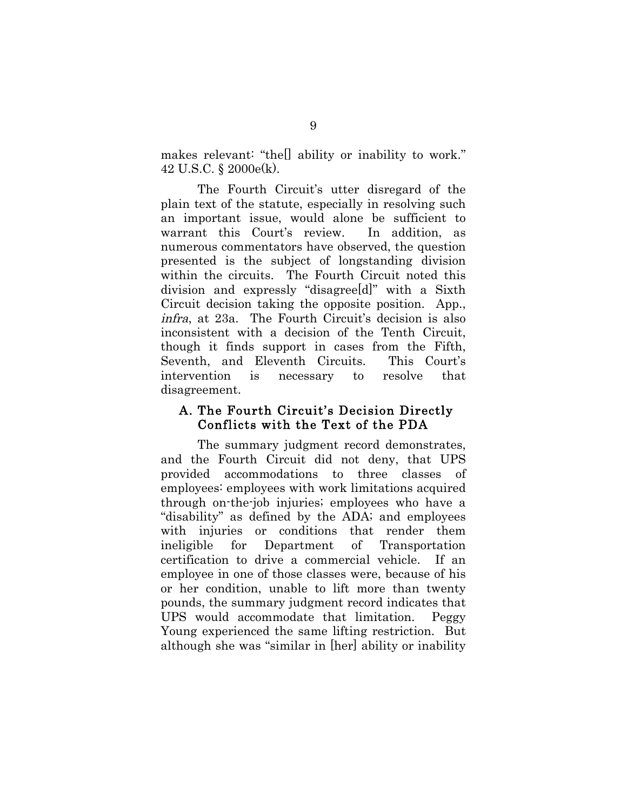makes relevant: "the[] ability or inability to work." 42 U.S.C. § 2000e(k).

The Fourth Circuit's utter disregard of the plain text of the statute, especially in resolving such an important issue, would alone be sufficient to warrant this Court's review. In addition, as numerous commentators have observed, the question presented is the subject of longstanding division within the circuits. The Fourth Circuit noted this division and expressly "disagree[d]" with a Sixth Circuit decision taking the opposite position. App., infra, at 23a. The Fourth Circuit's decision is also inconsistent with a decision of the Tenth Circuit, though it finds support in cases from the Fifth, Seventh, and Eleventh Circuits. This Court's intervention is necessary to resolve that disagreement.

#### A. The Fourth Circuit's Decision Directly Conflicts with the Text of the PDA

The summary judgment record demonstrates, and the Fourth Circuit did not deny, that UPS provided accommodations to three classes of employees: employees with work limitations acquired through on-the-job injuries; employees who have a "disability" as defined by the ADA; and employees with injuries or conditions that render them ineligible for Department of Transportation certification to drive a commercial vehicle. If an employee in one of those classes were, because of his or her condition, unable to lift more than twenty pounds, the summary judgment record indicates that UPS would accommodate that limitation. Peggy Young experienced the same lifting restriction. But although she was "similar in [her] ability or inability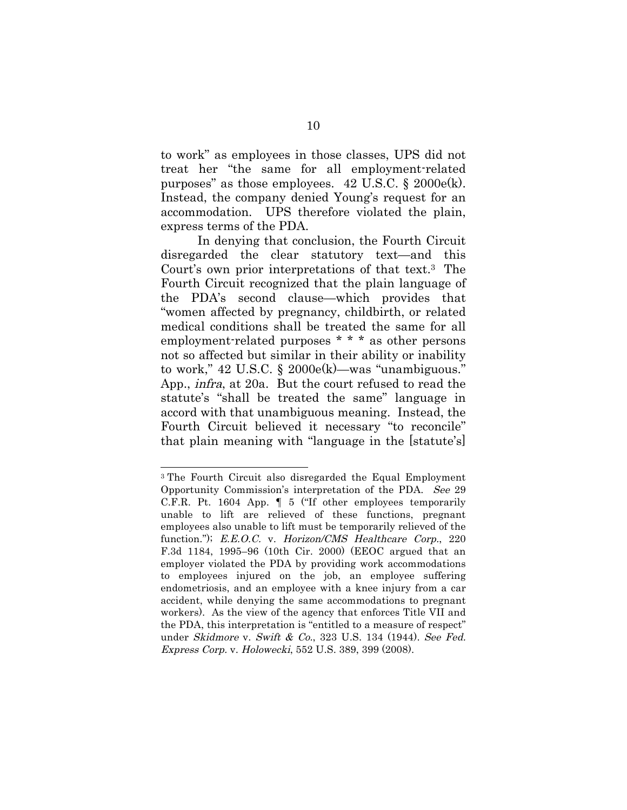to work" as employees in those classes, UPS did not treat her "the same for all employment-related purposes" as those employees.  $42 \text{ U.S.C.}$  §  $2000 \text{e(k)}$ . Instead, the company denied Young's request for an accommodation. UPS therefore violated the plain, express terms of the PDA.

In denying that conclusion, the Fourth Circuit disregarded the clear statutory text—and this Court's own prior interpretations of that text.3 The Fourth Circuit recognized that the plain language of the PDA's second clause—which provides that "women affected by pregnancy, childbirth, or related medical conditions shall be treated the same for all employment-related purposes \* \* \* as other persons not so affected but similar in their ability or inability to work," 42 U.S.C. § 2000e(k)—was "unambiguous." App., infra, at 20a. But the court refused to read the statute's "shall be treated the same" language in accord with that unambiguous meaning. Instead, the Fourth Circuit believed it necessary "to reconcile" that plain meaning with "language in the [statute's]

<sup>3</sup> The Fourth Circuit also disregarded the Equal Employment Opportunity Commission's interpretation of the PDA. See 29 C.F.R. Pt. 1604 App. ¶ 5 ("If other employees temporarily unable to lift are relieved of these functions, pregnant employees also unable to lift must be temporarily relieved of the function."); E.E.O.C. v. Horizon/CMS Healthcare Corp., 220 F.3d 1184, 1995–96 (10th Cir. 2000) (EEOC argued that an employer violated the PDA by providing work accommodations to employees injured on the job, an employee suffering endometriosis, and an employee with a knee injury from a car accident, while denying the same accommodations to pregnant workers). As the view of the agency that enforces Title VII and the PDA, this interpretation is "entitled to a measure of respect" under *Skidmore v. Swift & Co.*, 323 U.S. 134 (1944). See Fed. Express Corp. v. Holowecki, 552 U.S. 389, 399 (2008).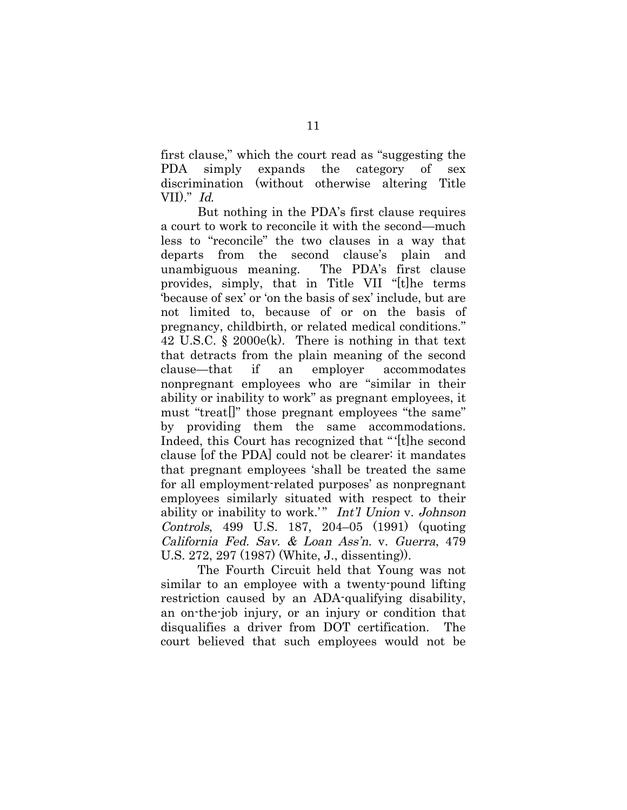first clause," which the court read as "suggesting the PDA simply expands the category of sex discrimination (without otherwise altering Title VII)." Id.

But nothing in the PDA's first clause requires a court to work to reconcile it with the second—much less to "reconcile" the two clauses in a way that departs from the second clause's plain and unambiguous meaning. The PDA's first clause provides, simply, that in Title VII "[t]he terms 'because of sex' or 'on the basis of sex' include, but are not limited to, because of or on the basis of pregnancy, childbirth, or related medical conditions." 42 U.S.C. § 2000e(k). There is nothing in that text that detracts from the plain meaning of the second clause—that if an employer accommodates nonpregnant employees who are "similar in their ability or inability to work" as pregnant employees, it must "treat[]" those pregnant employees "the same" by providing them the same accommodations. Indeed, this Court has recognized that "'[t]he second clause [of the PDA] could not be clearer: it mandates that pregnant employees 'shall be treated the same for all employment-related purposes' as nonpregnant employees similarly situated with respect to their ability or inability to work.'" Int'l Union v. Johnson Controls, 499 U.S. 187, 204–05 (1991) (quoting California Fed. Sav. & Loan Ass'n. v. Guerra, 479 U.S. 272, 297 (1987) (White, J., dissenting)).

The Fourth Circuit held that Young was not similar to an employee with a twenty-pound lifting restriction caused by an ADA-qualifying disability, an on-the-job injury, or an injury or condition that disqualifies a driver from DOT certification. The court believed that such employees would not be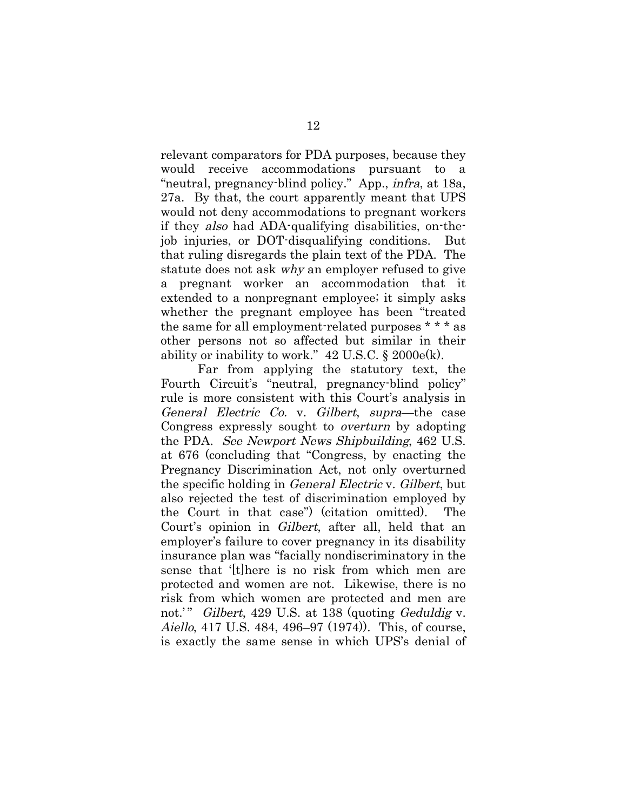relevant comparators for PDA purposes, because they would receive accommodations pursuant to a "neutral, pregnancy-blind policy." App., *infra*, at 18a, 27a. By that, the court apparently meant that UPS would not deny accommodations to pregnant workers if they also had ADA-qualifying disabilities, on-thejob injuries, or DOT-disqualifying conditions. But that ruling disregards the plain text of the PDA. The statute does not ask why an employer refused to give a pregnant worker an accommodation that it extended to a nonpregnant employee; it simply asks whether the pregnant employee has been "treated the same for all employment-related purposes \* \* \* as other persons not so affected but similar in their ability or inability to work."  $42 \text{ U.S.C.}$  §  $2000 \text{e(k)}$ .

Far from applying the statutory text, the Fourth Circuit's "neutral, pregnancy-blind policy" rule is more consistent with this Court's analysis in General Electric Co. v. Gilbert, supra—the case Congress expressly sought to overturn by adopting the PDA. See Newport News Shipbuilding, 462 U.S. at 676 (concluding that "Congress, by enacting the Pregnancy Discrimination Act, not only overturned the specific holding in General Electric v. Gilbert, but also rejected the test of discrimination employed by the Court in that case") (citation omitted). The Court's opinion in Gilbert, after all, held that an employer's failure to cover pregnancy in its disability insurance plan was "facially nondiscriminatory in the sense that '[t]here is no risk from which men are protected and women are not. Likewise, there is no risk from which women are protected and men are not.'" Gilbert, 429 U.S. at 138 (quoting Geduldig v. Aiello, 417 U.S. 484, 496–97 (1974)). This, of course, is exactly the same sense in which UPS's denial of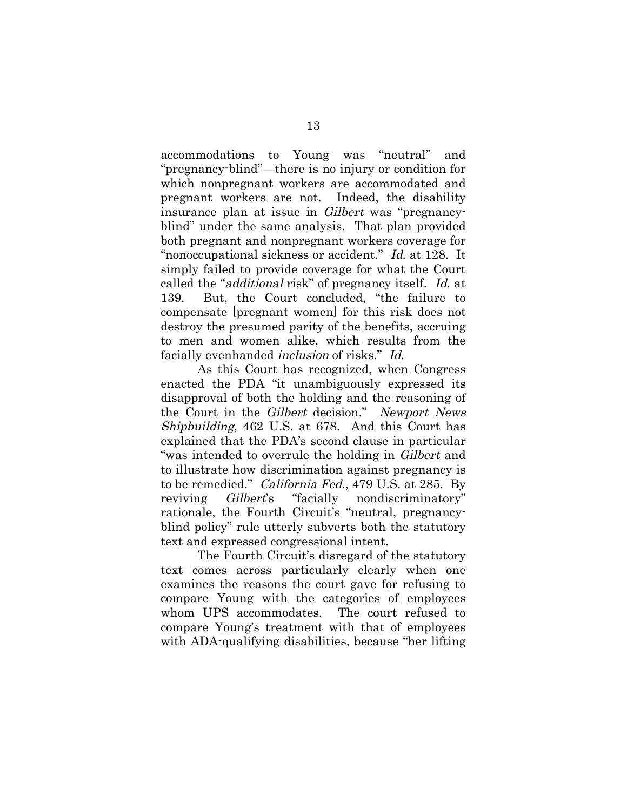accommodations to Young was "neutral" and "pregnancy-blind"—there is no injury or condition for which nonpregnant workers are accommodated and pregnant workers are not. Indeed, the disability insurance plan at issue in Gilbert was "pregnancyblind" under the same analysis. That plan provided both pregnant and nonpregnant workers coverage for "nonoccupational sickness or accident." Id. at 128. It simply failed to provide coverage for what the Court called the "additional risk" of pregnancy itself. Id. at 139. But, the Court concluded, "the failure to compensate [pregnant women] for this risk does not destroy the presumed parity of the benefits, accruing to men and women alike, which results from the facially evenhanded *inclusion* of risks." Id.

As this Court has recognized, when Congress enacted the PDA "it unambiguously expressed its disapproval of both the holding and the reasoning of the Court in the Gilbert decision." Newport News Shipbuilding, 462 U.S. at 678. And this Court has explained that the PDA's second clause in particular "was intended to overrule the holding in Gilbert and to illustrate how discrimination against pregnancy is to be remedied." California Fed., 479 U.S. at 285. By reviving Gilbert's "facially nondiscriminatory" rationale, the Fourth Circuit's "neutral, pregnancyblind policy" rule utterly subverts both the statutory text and expressed congressional intent.

The Fourth Circuit's disregard of the statutory text comes across particularly clearly when one examines the reasons the court gave for refusing to compare Young with the categories of employees whom UPS accommodates. The court refused to compare Young's treatment with that of employees with ADA-qualifying disabilities, because "her lifting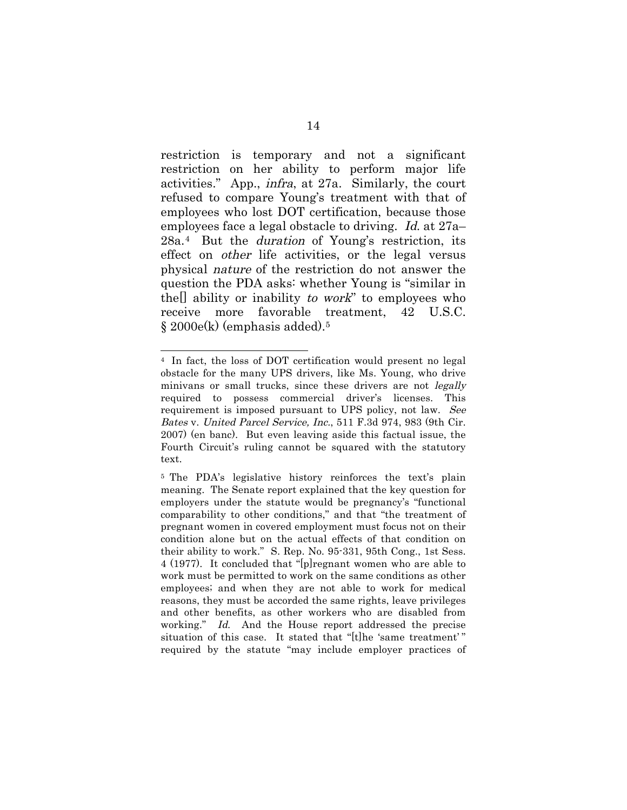restriction is temporary and not a significant restriction on her ability to perform major life activities." App., infra, at 27a. Similarly, the court refused to compare Young's treatment with that of employees who lost DOT certification, because those employees face a legal obstacle to driving. Id. at 27a– 28a.4 But the duration of Young's restriction, its effect on other life activities, or the legal versus physical nature of the restriction do not answer the question the PDA asks: whether Young is "similar in thell ability or inability to work" to employees who receive more favorable treatment, 42 U.S.C. § 2000e(k) (emphasis added).5

<sup>4</sup> In fact, the loss of DOT certification would present no legal obstacle for the many UPS drivers, like Ms. Young, who drive minivans or small trucks, since these drivers are not *legally* required to possess commercial driver's licenses. This requirement is imposed pursuant to UPS policy, not law. See Bates v. United Parcel Service, Inc., 511 F.3d 974, 983 (9th Cir. 2007) (en banc). But even leaving aside this factual issue, the Fourth Circuit's ruling cannot be squared with the statutory text.

<sup>5</sup> The PDA's legislative history reinforces the text's plain meaning. The Senate report explained that the key question for employers under the statute would be pregnancy's "functional comparability to other conditions," and that "the treatment of pregnant women in covered employment must focus not on their condition alone but on the actual effects of that condition on their ability to work." S. Rep. No. 95-331, 95th Cong., 1st Sess. 4 (1977). It concluded that "[p]regnant women who are able to work must be permitted to work on the same conditions as other employees; and when they are not able to work for medical reasons, they must be accorded the same rights, leave privileges and other benefits, as other workers who are disabled from working." Id. And the House report addressed the precise situation of this case. It stated that "[t]he 'same treatment' " required by the statute "may include employer practices of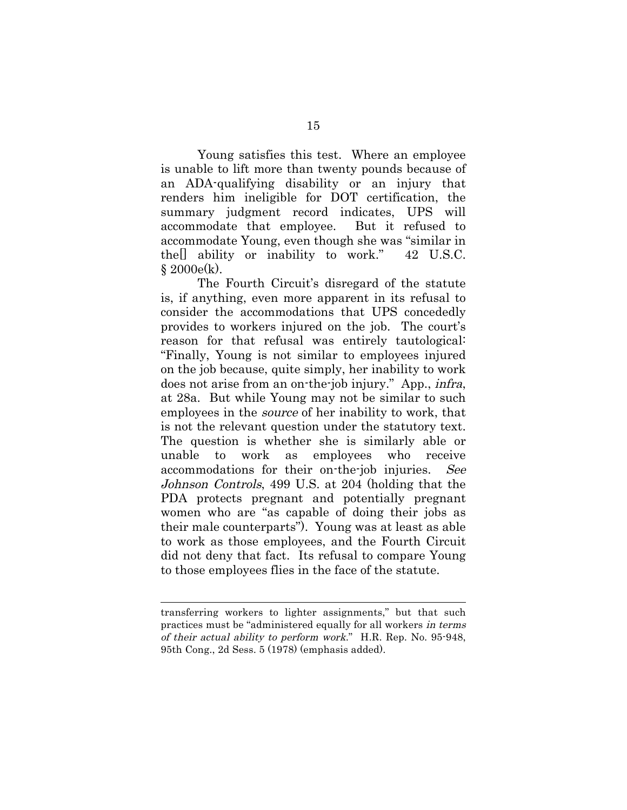Young satisfies this test. Where an employee is unable to lift more than twenty pounds because of an ADA-qualifying disability or an injury that renders him ineligible for DOT certification, the summary judgment record indicates, UPS will accommodate that employee. But it refused to accommodate Young, even though she was "similar in the[] ability or inability to work." 42 U.S.C.  $$2000e(k)$ .

The Fourth Circuit's disregard of the statute is, if anything, even more apparent in its refusal to consider the accommodations that UPS concededly provides to workers injured on the job. The court's reason for that refusal was entirely tautological: "Finally, Young is not similar to employees injured on the job because, quite simply, her inability to work does not arise from an on-the-job injury." App., infra, at 28a. But while Young may not be similar to such employees in the source of her inability to work, that is not the relevant question under the statutory text. The question is whether she is similarly able or unable to work as employees who receive accommodations for their on-the-job injuries. See Johnson Controls, 499 U.S. at 204 (holding that the PDA protects pregnant and potentially pregnant women who are "as capable of doing their jobs as their male counterparts"). Young was at least as able to work as those employees, and the Fourth Circuit did not deny that fact. Its refusal to compare Young to those employees flies in the face of the statute.

transferring workers to lighter assignments," but that such practices must be "administered equally for all workers in terms of their actual ability to perform work." H.R. Rep. No. 95-948, 95th Cong., 2d Sess. 5 (1978) (emphasis added).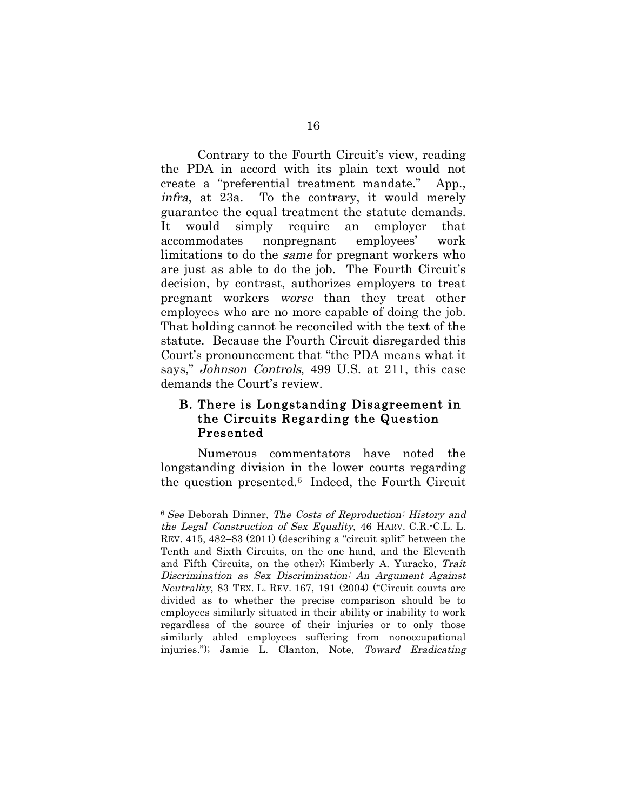Contrary to the Fourth Circuit's view, reading the PDA in accord with its plain text would not create a "preferential treatment mandate." App., infra, at 23a. To the contrary, it would merely guarantee the equal treatment the statute demands. It would simply require an employer that accommodates nonpregnant employees' work limitations to do the same for pregnant workers who are just as able to do the job. The Fourth Circuit's decision, by contrast, authorizes employers to treat pregnant workers worse than they treat other employees who are no more capable of doing the job. That holding cannot be reconciled with the text of the statute. Because the Fourth Circuit disregarded this Court's pronouncement that "the PDA means what it says," Johnson Controls, 499 U.S. at 211, this case demands the Court's review.

### B. There is Longstanding Disagreement in the Circuits Regarding the Question Presented

Numerous commentators have noted the longstanding division in the lower courts regarding the question presented.6 Indeed, the Fourth Circuit

<sup>6</sup> See Deborah Dinner, The Costs of Reproduction: History and the Legal Construction of Sex Equality, 46 HARV. C.R.-C.L. L. REV. 415, 482–83 (2011) (describing a "circuit split" between the Tenth and Sixth Circuits, on the one hand, and the Eleventh and Fifth Circuits, on the other); Kimberly A. Yuracko, Trait Discrimination as Sex Discrimination: An Argument Against Neutrality, 83 TEX. L. REV. 167, 191 (2004) ("Circuit courts are divided as to whether the precise comparison should be to employees similarly situated in their ability or inability to work regardless of the source of their injuries or to only those similarly abled employees suffering from nonoccupational injuries."); Jamie L. Clanton, Note, Toward Eradicating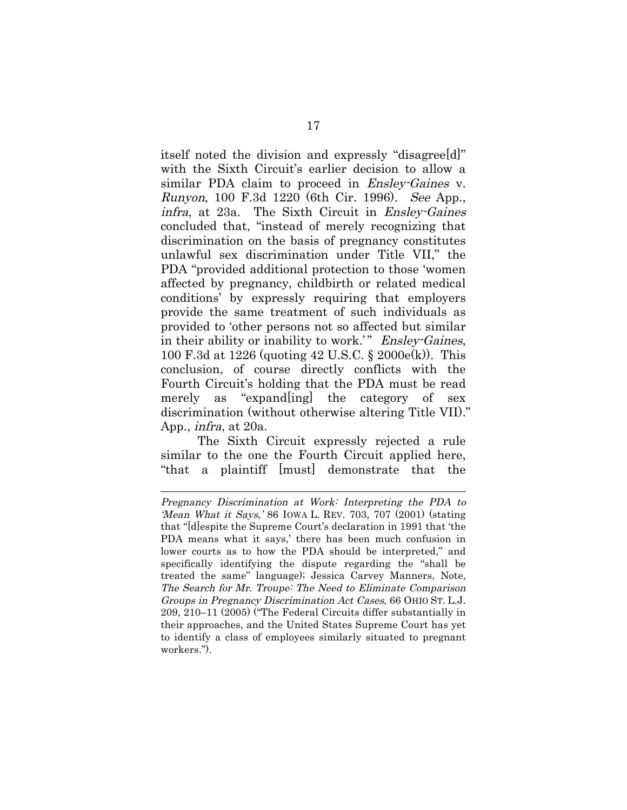itself noted the division and expressly "disagree[d]" with the Sixth Circuit's earlier decision to allow a similar PDA claim to proceed in *Ensley-Gaines* v. Runyon, 100 F.3d 1220 (6th Cir. 1996). See App., infra, at 23a. The Sixth Circuit in Ensley-Gaines concluded that, "instead of merely recognizing that discrimination on the basis of pregnancy constitutes unlawful sex discrimination under Title VII," the PDA "provided additional protection to those 'women affected by pregnancy, childbirth or related medical conditions' by expressly requiring that employers provide the same treatment of such individuals as provided to 'other persons not so affected but similar in their ability or inability to work.'" Ensley-Gaines, 100 F.3d at 1226 (quoting 42 U.S.C. § 2000e(k)). This conclusion, of course directly conflicts with the Fourth Circuit's holding that the PDA must be read merely as "expand[ing] the category of sex discrimination (without otherwise altering Title VII)." App., infra, at 20a.

The Sixth Circuit expressly rejected a rule similar to the one the Fourth Circuit applied here, "that a plaintiff [must] demonstrate that the

Pregnancy Discrimination at Work: Interpreting the PDA to 'Mean What it Says,' 86 IOWA L. REV. 703, 707 (2001) (stating that "[d]espite the Supreme Court's declaration in 1991 that 'the PDA means what it says,' there has been much confusion in lower courts as to how the PDA should be interpreted," and specifically identifying the dispute regarding the "shall be treated the same" language); Jessica Carvey Manners, Note, The Search for Mr. Troupe: The Need to Eliminate Comparison Groups in Pregnancy Discrimination Act Cases, 66 OHIO ST. L.J. 209, 210–11 (2005) ("The Federal Circuits differ substantially in their approaches, and the United States Supreme Court has yet to identify a class of employees similarly situated to pregnant workers.").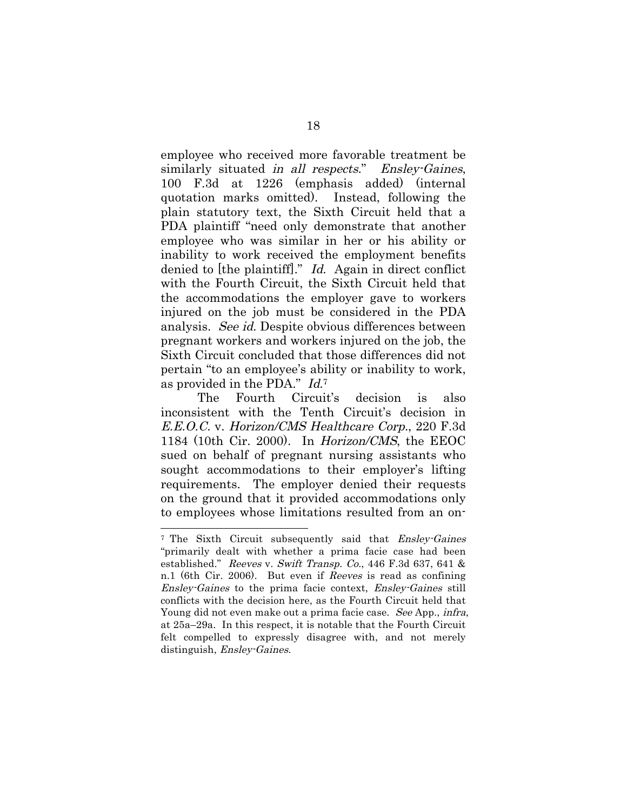employee who received more favorable treatment be similarly situated in all respects." Ensley-Gaines, 100 F.3d at 1226 (emphasis added) (internal quotation marks omitted). Instead, following the plain statutory text, the Sixth Circuit held that a PDA plaintiff "need only demonstrate that another employee who was similar in her or his ability or inability to work received the employment benefits denied to [the plaintiff]." Id. Again in direct conflict with the Fourth Circuit, the Sixth Circuit held that the accommodations the employer gave to workers injured on the job must be considered in the PDA analysis. See id. Despite obvious differences between pregnant workers and workers injured on the job, the Sixth Circuit concluded that those differences did not pertain "to an employee's ability or inability to work, as provided in the PDA." Id.7

The Fourth Circuit's decision is also inconsistent with the Tenth Circuit's decision in E.E.O.C. v. Horizon/CMS Healthcare Corp., 220 F.3d 1184 (10th Cir. 2000). In Horizon/CMS, the EEOC sued on behalf of pregnant nursing assistants who sought accommodations to their employer's lifting requirements. The employer denied their requests on the ground that it provided accommodations only to employees whose limitations resulted from an on-

<sup>&</sup>lt;sup>7</sup> The Sixth Circuit subsequently said that *Ensley-Gaines* "primarily dealt with whether a prima facie case had been established." Reeves v. Swift Transp. Co., 446 F.3d 637, 641 & n.1 (6th Cir. 2006). But even if Reeves is read as confining Ensley-Gaines to the prima facie context, Ensley-Gaines still conflicts with the decision here, as the Fourth Circuit held that Young did not even make out a prima facie case. See App., *infra*, at 25a–29a. In this respect, it is notable that the Fourth Circuit felt compelled to expressly disagree with, and not merely distinguish, Ensley-Gaines.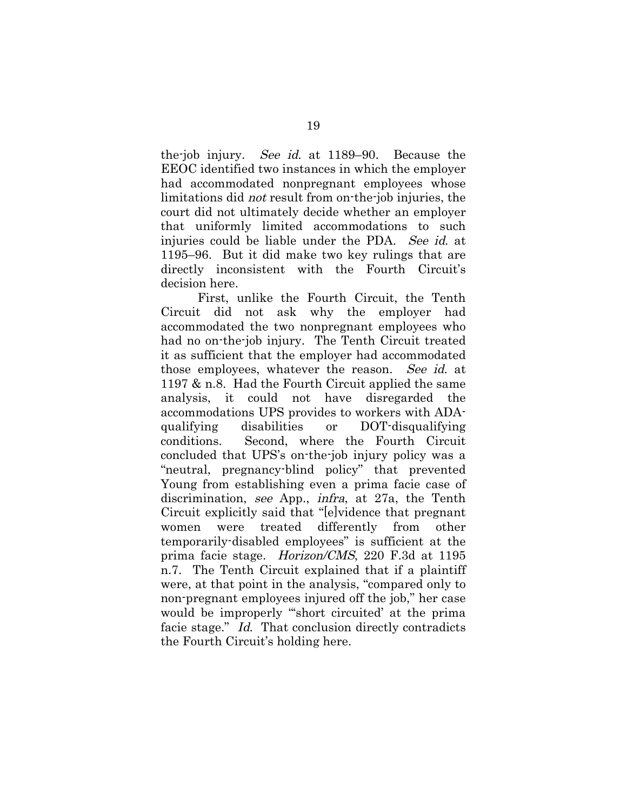the-job injury. See id. at 1189–90. Because the EEOC identified two instances in which the employer had accommodated nonpregnant employees whose limitations did not result from on-the-job injuries, the court did not ultimately decide whether an employer that uniformly limited accommodations to such injuries could be liable under the PDA. See id. at 1195–96. But it did make two key rulings that are directly inconsistent with the Fourth Circuit's decision here.

First, unlike the Fourth Circuit, the Tenth Circuit did not ask why the employer had accommodated the two nonpregnant employees who had no on-the-job injury. The Tenth Circuit treated it as sufficient that the employer had accommodated those employees, whatever the reason. See id. at 1197 & n.8. Had the Fourth Circuit applied the same analysis, it could not have disregarded the accommodations UPS provides to workers with ADAqualifying disabilities or DOT-disqualifying conditions. Second, where the Fourth Circuit concluded that UPS's on-the-job injury policy was a "neutral, pregnancy-blind policy" that prevented Young from establishing even a prima facie case of discrimination, see App., infra, at 27a, the Tenth Circuit explicitly said that "[e]vidence that pregnant women were treated differently from other temporarily-disabled employees" is sufficient at the prima facie stage. Horizon/CMS, 220 F.3d at 1195 n.7. The Tenth Circuit explained that if a plaintiff were, at that point in the analysis, "compared only to non-pregnant employees injured off the job," her case would be improperly "'short circuited' at the prima facie stage." Id. That conclusion directly contradicts the Fourth Circuit's holding here.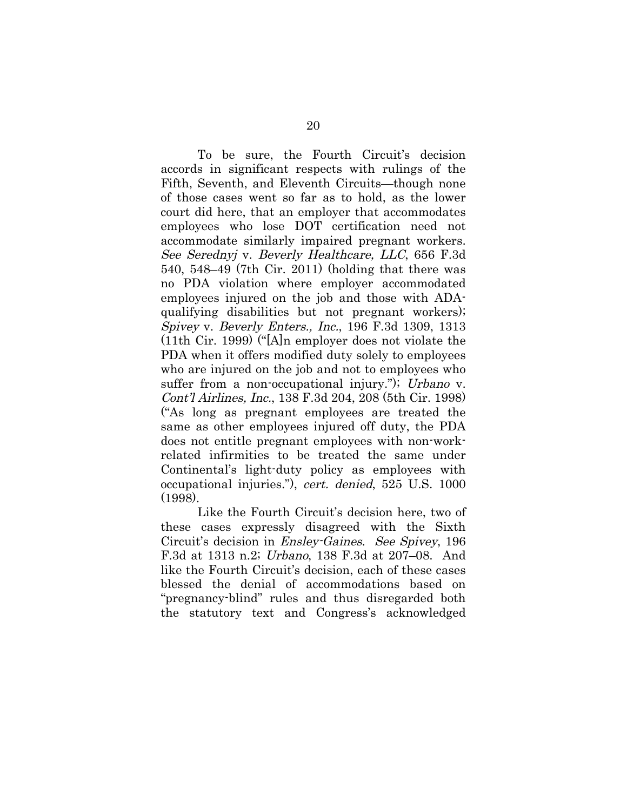To be sure, the Fourth Circuit's decision accords in significant respects with rulings of the Fifth, Seventh, and Eleventh Circuits—though none of those cases went so far as to hold, as the lower court did here, that an employer that accommodates employees who lose DOT certification need not accommodate similarly impaired pregnant workers. See Serednyj v. Beverly Healthcare, LLC, 656 F.3d 540, 548–49 (7th Cir. 2011) (holding that there was no PDA violation where employer accommodated employees injured on the job and those with ADAqualifying disabilities but not pregnant workers); Spivey v. Beverly Enters., Inc., 196 F.3d 1309, 1313 (11th Cir. 1999) ("[A]n employer does not violate the PDA when it offers modified duty solely to employees who are injured on the job and not to employees who suffer from a non-occupational injury."); Urbano v. Cont'l Airlines, Inc., 138 F.3d 204, 208 (5th Cir. 1998) ("As long as pregnant employees are treated the same as other employees injured off duty, the PDA does not entitle pregnant employees with non-workrelated infirmities to be treated the same under Continental's light-duty policy as employees with occupational injuries."), cert. denied, 525 U.S. 1000 (1998).

Like the Fourth Circuit's decision here, two of these cases expressly disagreed with the Sixth Circuit's decision in Ensley-Gaines. See Spivey, 196 F.3d at 1313 n.2; Urbano, 138 F.3d at 207–08. And like the Fourth Circuit's decision, each of these cases blessed the denial of accommodations based on "pregnancy-blind" rules and thus disregarded both the statutory text and Congress's acknowledged